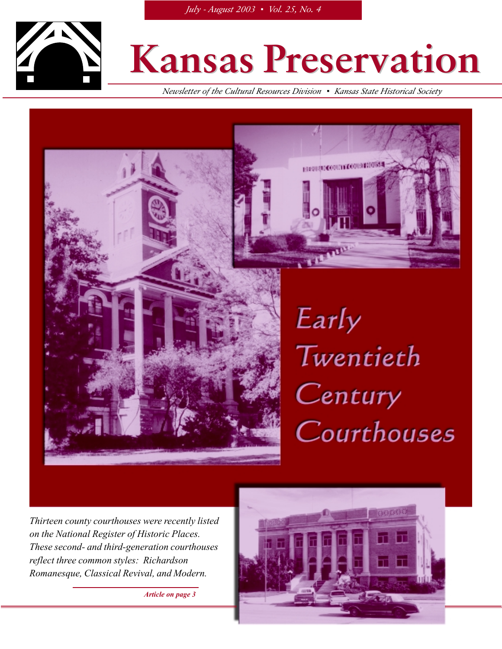

### **Kansas Preservation Kansas Preservation**

назначескопы социализма

*Newsletter of the Cultural Resources Division* !" *Kansas State Historical Society*



## Early Twentieth Century Courthouses

*Thirteen county courthouses were recently listed on the National Register of Historic Places. These second- and third-generation courthouses reflect three common styles: Richardson Romanesque, Classical Revival, and Modern.*

*Article on page 3*

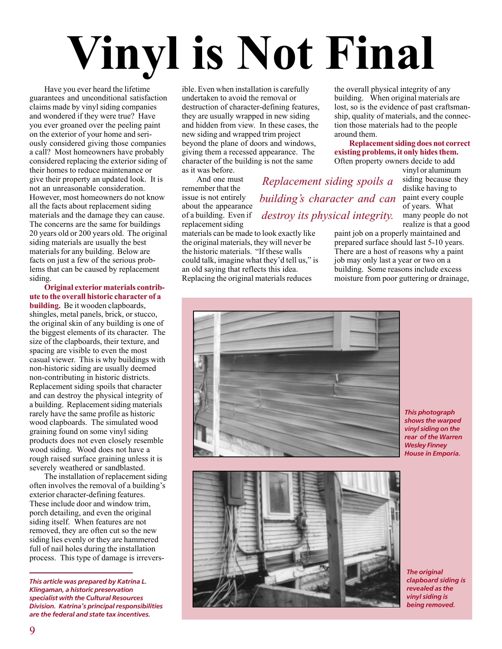# **Vinyl is Not Final**

Have you ever heard the lifetime guarantees and unconditional satisfaction claims made by vinyl siding companies and wondered if they were true? Have you ever groaned over the peeling paint on the exterior of your home and seriously considered giving those companies a call? Most homeowners have probably considered replacing the exterior siding of their homes to reduce maintenance or give their property an updated look. It is not an unreasonable consideration. However, most homeowners do not know all the facts about replacement siding materials and the damage they can cause. The concerns are the same for buildings 20 years old or 200 years old. The original siding materials are usually the best materials for any building. Below are facts on just a few of the serious problems that can be caused by replacement siding.

**Original exterior materials contribute to the overall historic character of a building.** Be it wooden clapboards, shingles, metal panels, brick, or stucco, the original skin of any building is one of the biggest elements of its character. The size of the clapboards, their texture, and spacing are visible to even the most casual viewer. This is why buildings with non-historic siding are usually deemed non-contributing in historic districts. Replacement siding spoils that character and can destroy the physical integrity of a building. Replacement siding materials rarely have the same profile as historic wood clapboards. The simulated wood graining found on some vinyl siding products does not even closely resemble wood siding. Wood does not have a rough raised surface graining unless it is severely weathered or sandblasted.

The installation of replacement siding often involves the removal of a building's exterior character-defining features. These include door and window trim, porch detailing, and even the original siding itself. When features are not removed, they are often cut so the new siding lies evenly or they are hammered full of nail holes during the installation process. This type of damage is irreversible. Even when installation is carefully undertaken to avoid the removal or destruction of character-defining features, they are usually wrapped in new siding and hidden from view. In these cases, the new siding and wrapped trim project beyond the plane of doors and windows, giving them a recessed appearance. The character of the building is not the same as it was before.

And one must remember that the issue is not entirely about the appearance of a building. Even if replacement siding

materials can be made to look exactly like the original materials, they will never be the historic materials. "If these walls could talk, imagine what they'd tell us," is an old saying that reflects this idea. Replacing the original materials reduces

the overall physical integrity of any building. When original materials are lost, so is the evidence of past craftsmanship, quality of materials, and the connection those materials had to the people around them.

**Replacement siding does not correct existing problems, it only hides them.** Often property owners decide to add

> vinyl or aluminum siding because they dislike having to paint every couple of years. What many people do not realize is that a good

paint job on a properly maintained and prepared surface should last 5-10 years. There are a host of reasons why a paint job may only last a year or two on a building. Some reasons include excess moisture from poor guttering or drainage,



*Replacement siding spoils a*

*building's character and can*

*destroy its physical integrity.*

*This photograph shows the warped vinyl siding on the rear of the Warren Wesley Finney House in Emporia.*



*The original clapboard siding is revealed as the vinyl siding is being removed.*

*This article was prepared by Katrina L. Klingaman, a historic preservation specialist with the Cultural Resources Division. Katrina's principal responsibilities are the federal and state tax incentives.*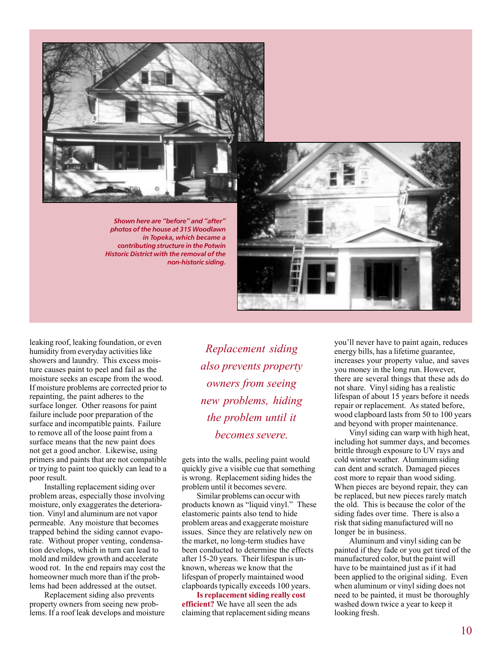

*photos of the house at 315 Woodlawn in Topeka, which became a contributing structure in the Potwin Historic District with the removal of the non-historic siding.*

leaking roof, leaking foundation, or even humidity from everyday activities like showers and laundry. This excess moisture causes paint to peel and fail as the moisture seeks an escape from the wood. If moisture problems are corrected prior to repainting, the paint adheres to the surface longer. Other reasons for paint failure include poor preparation of the surface and incompatible paints. Failure to remove all of the loose paint from a surface means that the new paint does not get a good anchor. Likewise, using primers and paints that are not compatible or trying to paint too quickly can lead to a poor result.

Installing replacement siding over problem areas, especially those involving moisture, only exaggerates the deterioration. Vinyl and aluminum are not vapor permeable. Any moisture that becomes trapped behind the siding cannot evaporate. Without proper venting, condensation develops, which in turn can lead to mold and mildew growth and accelerate wood rot. In the end repairs may cost the homeowner much more than if the problems had been addressed at the outset.

Replacement siding also prevents property owners from seeing new problems. If a roof leak develops and moisture

*Replacement siding also prevents property owners from seeing new problems, hiding the problem until it becomes severe.*

gets into the walls, peeling paint would quickly give a visible cue that something is wrong. Replacement siding hides the problem until it becomes severe.

Similar problems can occur with products known as "liquid vinyl." These elastomeric paints also tend to hide problem areas and exaggerate moisture issues. Since they are relatively new on the market, no long-term studies have been conducted to determine the effects after 15-20 years. Their lifespan is unknown, whereas we know that the lifespan of properly maintained wood clapboards typically exceeds 100 years.

**Is replacement siding really cost efficient?** We have all seen the ads claiming that replacement siding means you'll never have to paint again, reduces energy bills, has a lifetime guarantee, increases your property value, and saves you money in the long run. However, there are several things that these ads do not share. Vinyl siding has a realistic lifespan of about 15 years before it needs repair or replacement. As stated before, wood clapboard lasts from 50 to 100 years and beyond with proper maintenance.

Vinyl siding can warp with high heat, including hot summer days, and becomes brittle through exposure to UV rays and cold winter weather. Aluminum siding can dent and scratch. Damaged pieces cost more to repair than wood siding. When pieces are beyond repair, they can be replaced, but new pieces rarely match the old. This is because the color of the siding fades over time. There is also a risk that siding manufactured will no longer be in business.

Aluminum and vinyl siding can be painted if they fade or you get tired of the manufactured color, but the paint will have to be maintained just as if it had been applied to the original siding. Even when aluminum or vinyl siding does not need to be painted, it must be thoroughly washed down twice a year to keep it looking fresh.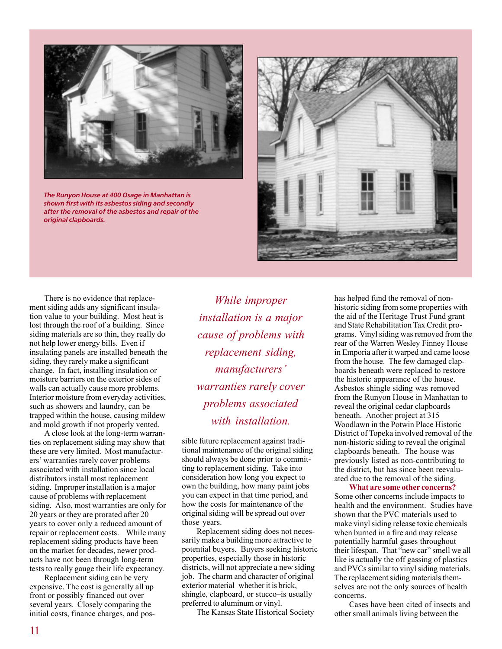

*The Runyon House at 400 Osage in Manhattan is shown first with its asbestos siding and secondly after the removal of the asbestos and repair of the original clapboards.*



There is no evidence that replacement siding adds any significant insulation value to your building. Most heat is lost through the roof of a building. Since siding materials are so thin, they really do not help lower energy bills. Even if insulating panels are installed beneath the siding, they rarely make a significant change. In fact, installing insulation or moisture barriers on the exterior sides of walls can actually cause more problems. Interior moisture from everyday activities, such as showers and laundry, can be trapped within the house, causing mildew and mold growth if not properly vented.

A close look at the long-term warranties on replacement siding may show that these are very limited. Most manufacturers' warranties rarely cover problems associated with installation since local distributors install most replacement siding. Improper installation is a major cause of problems with replacement siding. Also, most warranties are only for 20 years or they are prorated after 20 years to cover only a reduced amount of repair or replacement costs. While many replacement siding products have been on the market for decades, newer products have not been through long-term tests to really gauge their life expectancy.

Replacement siding can be very expensive. The cost is generally all up front or possibly financed out over several years. Closely comparing the initial costs, finance charges, and pos-

*While improper installation is a major cause of problems with replacement siding, manufacturers' warranties rarely cover problems associated with installation.*

sible future replacement against traditional maintenance of the original siding should always be done prior to committing to replacement siding. Take into consideration how long you expect to own the building, how many paint jobs you can expect in that time period, and how the costs for maintenance of the original siding will be spread out over those years.

Replacement siding does not necessarily make a building more attractive to potential buyers. Buyers seeking historic properties, especially those in historic districts, will not appreciate a new siding job. The charm and character of original exterior material–whether it is brick, shingle, clapboard, or stucco–is usually preferred to aluminum or vinyl.

The Kansas State Historical Society

has helped fund the removal of nonhistoric siding from some properties with the aid of the Heritage Trust Fund grant and State Rehabilitation Tax Credit programs. Vinyl siding was removed from the rear of the Warren Wesley Finney House in Emporia after it warped and came loose from the house. The few damaged clapboards beneath were replaced to restore the historic appearance of the house. Asbestos shingle siding was removed from the Runyon House in Manhattan to reveal the original cedar clapboards beneath. Another project at 315 Woodlawn in the Potwin Place Historic District of Topeka involved removal of the non-historic siding to reveal the original clapboards beneath. The house was previously listed as non-contributing to the district, but has since been reevaluated due to the removal of the siding.

**What are some other concerns?** Some other concerns include impacts to health and the environment. Studies have shown that the PVC materials used to make vinyl siding release toxic chemicals when burned in a fire and may release potentially harmful gases throughout their lifespan. That "new car" smell we all like is actually the off gassing of plastics and PVCs similar to vinyl siding materials. The replacement siding materials themselves are not the only sources of health concerns.

Cases have been cited of insects and other small animals living between the